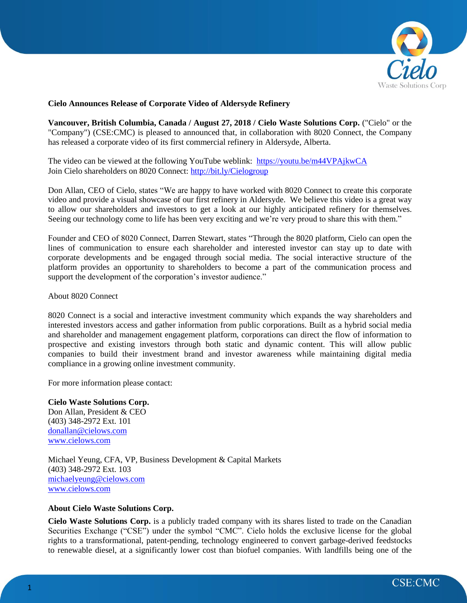

## **Cielo Announces Release of Corporate Video of Aldersyde Refinery**

**Vancouver, British Columbia, Canada / August 27, 2018 / Cielo Waste Solutions Corp.** ("Cielo" or the "Company") (CSE:CMC) is pleased to announced that, in collaboration with 8020 Connect, the Company has released a corporate video of its first commercial refinery in Aldersyde, Alberta.

The video can be viewed at the following YouTube weblink: <https://youtu.be/m44VPAjkwCA> Join Cielo shareholders on 8020 Connect:<http://bit.ly/Cielogroup>

Don Allan, CEO of Cielo, states "We are happy to have worked with 8020 Connect to create this corporate video and provide a visual showcase of our first refinery in Aldersyde. We believe this video is a great way to allow our shareholders and investors to get a look at our highly anticipated refinery for themselves. Seeing our technology come to life has been very exciting and we're very proud to share this with them."

Founder and CEO of 8020 Connect, Darren Stewart, states "Through the 8020 platform, Cielo can open the lines of communication to ensure each shareholder and interested investor can stay up to date with corporate developments and be engaged through social media. The social interactive structure of the platform provides an opportunity to shareholders to become a part of the communication process and support the development of the corporation's investor audience."

About 8020 Connect

8020 Connect is a social and interactive investment community which expands the way shareholders and interested investors access and gather information from public corporations. Built as a hybrid social media and shareholder and management engagement platform, corporations can direct the flow of information to prospective and existing investors through both static and dynamic content. This will allow public companies to build their investment brand and investor awareness while maintaining digital media compliance in a growing online investment community.

For more information please contact:

**Cielo Waste Solutions Corp.** Don Allan, President & CEO (403) 348-2972 Ext. 101 [donallan@cielows.com](mailto:donallan@cielows.com) [www.cielows.com](http://www.cielows.com/)

Michael Yeung, CFA, VP, Business Development & Capital Markets (403) 348-2972 Ext. 103 [michaelyeung@cielows.com](mailto:michaelyeung@cielows.com) [www.cielows.com](http://www.cielows.com/)

## **About Cielo Waste Solutions Corp.**

**Cielo Waste Solutions Corp.** is a publicly traded company with its shares listed to trade on the Canadian Securities Exchange ("CSE") under the symbol "CMC". Cielo holds the exclusive license for the global rights to a transformational, patent-pending, technology engineered to convert garbage-derived feedstocks to renewable diesel, at a significantly lower cost than biofuel companies. With landfills being one of the